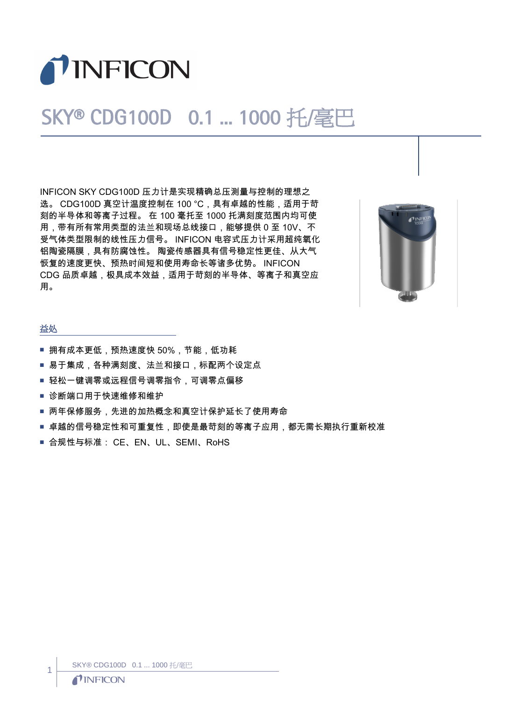

## SKY® CDG100D 0.1 ... 1000 托/毫巴

INFICON SKY CDG100D 压力计是实现精确总压测量与控制的理想之 选。 CDG100D 真空计温度控制在 100 ℃, 具有卓越的性能, 适用于苛 刻的半导体和等离子过程。 在 100 毫托至 1000 托满刻度范围内均可使 用,带有所有常用类型的法兰和现场总线接口,能够提供 0 至 10V、不 受气体类型限制的线性压力信号。 INFICON 电容式压力计采用超纯氧化 铝陶瓷隔膜,具有防腐蚀性。 陶瓷传感器具有信号稳定性更佳、从大气 恢复的速度更快、预热时间短和使用寿命长等诸多优势。 INFICON CDG 品质卓越,极具成本效益,适用于苛刻的半导体、等离子和真空应 用。



## 益处

- 拥有成本更低,预热速度快 50%,节能,低功耗
- 易于集成,各种满刻度、法兰和接口,标配两个设定点
- 轻松一键调零或远程信号调零指令,可调零点偏移
- 诊断端口用于快速维修和维护
- 两年保修服务,先进的加热概念和真空计保护延长了使用寿命
- 卓越的信号稳定性和可重复性,即使是最苛刻的等离子应用,都无需长期执行重新校准
- 合规性与标准: CE、EN、UL、SEMI、RoHS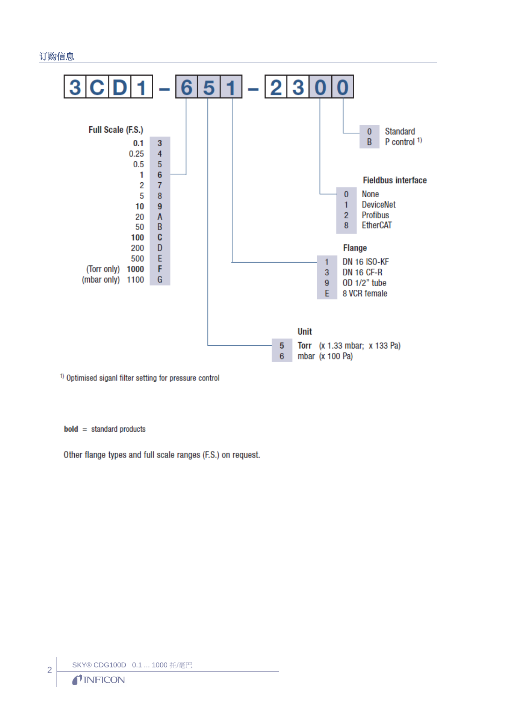## 订购信息



<sup>1)</sup> Optimised siganl filter setting for pressure control

 $bold = standard products$ 

Other flange types and full scale ranges (F.S.) on request.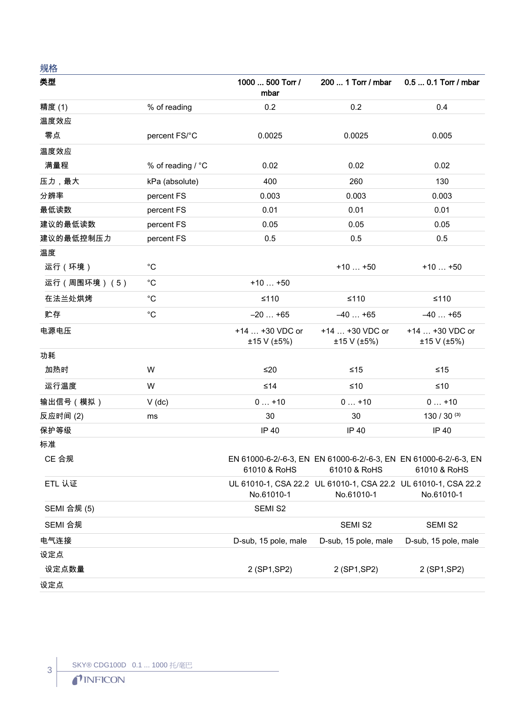## 规格

| 类型          |                   | 1000  500 Torr /<br>mbar       | 200  1 Torr / mbar                                                                             | 0.5  0.1 Torr / mbar           |
|-------------|-------------------|--------------------------------|------------------------------------------------------------------------------------------------|--------------------------------|
| 精度(1)       | % of reading      | 0.2                            | 0.2                                                                                            | 0.4                            |
| 温度效应        |                   |                                |                                                                                                |                                |
| 零点          | percent FS/°C     | 0.0025                         | 0.0025                                                                                         | 0.005                          |
| 温度效应        |                   |                                |                                                                                                |                                |
| 满量程         | % of reading / °C | 0.02                           | 0.02                                                                                           | 0.02                           |
| 压力,最大       | kPa (absolute)    | 400                            | 260                                                                                            | 130                            |
| 分辨率         | percent FS        | 0.003                          | 0.003                                                                                          | 0.003                          |
| 最低读数        | percent FS        | 0.01                           | 0.01                                                                                           | 0.01                           |
| 建议的最低读数     | percent FS        | 0.05                           | 0.05                                                                                           | 0.05                           |
| 建议的最低控制压力   | percent FS        | 0.5                            | 0.5                                                                                            | 0.5                            |
| 温度          |                   |                                |                                                                                                |                                |
| 运行(环境)      | $^{\circ}C$       |                                | $+10+50$                                                                                       | $+10+50$                       |
| 运行(周围环境)(5) | $^{\circ}C$       | $+10+50$                       |                                                                                                |                                |
| 在法兰处烘烤      | $^{\circ}C$       | $≤110$                         | $≤110$                                                                                         | $≤110$                         |
| 贮存          | $^{\circ}C$       | $-20+65$                       | $-40+65$                                                                                       | $-40+65$                       |
| 电源电压        |                   | +14  +30 VDC or<br>±15 V (±5%) | +14  +30 VDC or<br>±15 V (±5%)                                                                 | +14  +30 VDC or<br>±15 V (±5%) |
| 功耗          |                   |                                |                                                                                                |                                |
| 加热时         | W                 | ≤20                            | ≤15                                                                                            | ≤15                            |
| 运行温度        | W                 | ≤14                            | ≤10                                                                                            | $≤10$                          |
| 输出信号(模拟)    | $V$ (dc)          | $0+10$                         | $0+10$                                                                                         | $0+10$                         |
| 反应时间(2)     | ms                | 30                             | 30                                                                                             | $130 / 30^{(3)}$               |
| 保护等级        |                   | IP 40                          | IP 40                                                                                          | IP 40                          |
| 标准          |                   |                                |                                                                                                |                                |
| CE 合规       |                   |                                | EN 61000-6-2/-6-3, EN EN 61000-6-2/-6-3, EN EN 61000-6-2/-6-3, EN<br>61010 & RoHS 61010 & RoHS | 61010 & RoHS                   |
| ETL 认证      |                   | No.61010-1                     | UL 61010-1, CSA 22.2 UL 61010-1, CSA 22.2 UL 61010-1, CSA 22.2<br>No.61010-1                   | No.61010-1                     |
| SEMI 合规 (5) |                   | SEMI S2                        |                                                                                                |                                |
| SEMI 合规     |                   |                                | SEMI S2                                                                                        | SEMI S2                        |
| 电气连接        |                   | D-sub, 15 pole, male           | D-sub, 15 pole, male                                                                           | D-sub, 15 pole, male           |
| 设定点         |                   |                                |                                                                                                |                                |
| 设定点数量       |                   | 2 (SP1, SP2)                   | 2 (SP1, SP2)                                                                                   | 2 (SP1, SP2)                   |
| 设定点         |                   |                                |                                                                                                |                                |

 $\left| \begin{array}{c} 3 \\ 1 \end{array} \right|$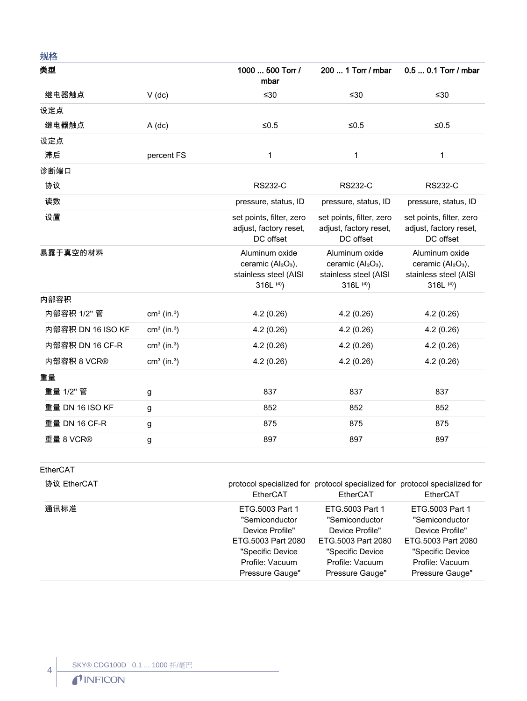| 规格                |                           |                                                                                                     |                                                                                                       |                                                                                                       |
|-------------------|---------------------------|-----------------------------------------------------------------------------------------------------|-------------------------------------------------------------------------------------------------------|-------------------------------------------------------------------------------------------------------|
| 类型                |                           | 1000  500 Torr /<br>mbar                                                                            | 200  1 Torr / mbar                                                                                    | 0.5  0.1 Torr / mbar                                                                                  |
| 继电器触点             | $V$ (dc)                  | $≤30$                                                                                               | ≤30                                                                                                   | ≤30                                                                                                   |
| 设定点               |                           |                                                                                                     |                                                                                                       |                                                                                                       |
| 继电器触点             | $A$ (dc)                  | $≤0.5$                                                                                              | $≤0.5$                                                                                                | $≤0.5$                                                                                                |
| 设定点               |                           |                                                                                                     |                                                                                                       |                                                                                                       |
| 滞后                | percent FS                | 1                                                                                                   | 1                                                                                                     | 1                                                                                                     |
| 诊断端口              |                           |                                                                                                     |                                                                                                       |                                                                                                       |
| 协议                |                           | <b>RS232-C</b>                                                                                      | <b>RS232-C</b>                                                                                        | <b>RS232-C</b>                                                                                        |
| 读数                |                           | pressure, status, ID                                                                                | pressure, status, ID                                                                                  | pressure, status, ID                                                                                  |
| 设置                |                           | set points, filter, zero<br>adjust, factory reset,<br>DC offset                                     | set points, filter, zero<br>adjust, factory reset,<br>DC offset                                       | set points, filter, zero<br>adjust, factory reset,<br>DC offset                                       |
| 暴露于真空的材料          |                           | Aluminum oxide<br>ceramic (Al <sub>2</sub> O <sub>3</sub> ),<br>stainless steel (AISI<br>316L $(4)$ | Aluminum oxide<br>ceramic (Al <sub>2</sub> O <sub>3</sub> ),<br>stainless steel (AISI<br>$316L^{(4)}$ | Aluminum oxide<br>ceramic (Al <sub>2</sub> O <sub>3</sub> ),<br>stainless steel (AISI<br>$316L^{(4)}$ |
| 内部容积              |                           |                                                                                                     |                                                                                                       |                                                                                                       |
| 内部容积 1/2" 管       | $cm3$ (in. <sup>3</sup> ) | 4.2(0.26)                                                                                           | 4.2(0.26)                                                                                             | 4.2(0.26)                                                                                             |
| 内部容积 DN 16 ISO KF | $cm3$ (in. <sup>3</sup> ) | 4.2(0.26)                                                                                           | 4.2(0.26)                                                                                             | 4.2(0.26)                                                                                             |
| 内部容积 DN 16 CF-R   | $cm3$ (in. <sup>3</sup> ) | 4.2(0.26)                                                                                           | 4.2(0.26)                                                                                             | 4.2(0.26)                                                                                             |
| 内部容积 8 VCR®       | $cm3$ (in. <sup>3</sup> ) | 4.2(0.26)                                                                                           | 4.2(0.26)                                                                                             | 4.2(0.26)                                                                                             |
| 重量                |                           |                                                                                                     |                                                                                                       |                                                                                                       |
| 重量 1/2" 管         | g                         | 837                                                                                                 | 837                                                                                                   | 837                                                                                                   |
| 重量 DN 16 ISO KF   | g                         | 852                                                                                                 | 852                                                                                                   | 852                                                                                                   |
| 重量 DN 16 CF-R     | g                         | 875                                                                                                 | 875                                                                                                   | 875                                                                                                   |
| 重量 8 VCR®         | g                         | 897                                                                                                 | 897                                                                                                   | 897                                                                                                   |
|                   |                           |                                                                                                     |                                                                                                       |                                                                                                       |

EtherCAT

 $\overline{4}$ 

| 协议 EtherCAT | EtherCAT           | protocol specialized for protocol specialized for protocol specialized for<br>EtherCAT | EtherCAT           |
|-------------|--------------------|----------------------------------------------------------------------------------------|--------------------|
| 通讯标准        | ETG.5003 Part 1    | ETG.5003 Part 1                                                                        | ETG.5003 Part 1    |
|             | "Semiconductor     | "Semiconductor                                                                         | "Semiconductor     |
|             | Device Profile"    | Device Profile"                                                                        | Device Profile"    |
|             | ETG.5003 Part 2080 | ETG.5003 Part 2080                                                                     | ETG.5003 Part 2080 |
|             | "Specific Device   | "Specific Device                                                                       | "Specific Device   |
|             | Profile: Vacuum    | Profile: Vacuum                                                                        | Profile: Vacuum    |
|             | Pressure Gauge"    | Pressure Gauge"                                                                        | Pressure Gauge"    |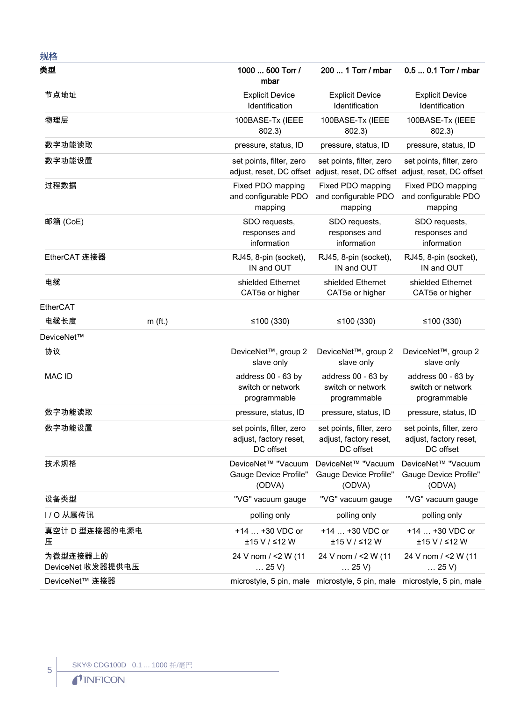| 规格                            |           |                                                                 |                                                                                                        |                                                                 |
|-------------------------------|-----------|-----------------------------------------------------------------|--------------------------------------------------------------------------------------------------------|-----------------------------------------------------------------|
| 类型                            |           | 1000  500 Torr /<br>mbar                                        | 200  1 Torr / mbar                                                                                     | 0.5  0.1 Torr / mbar                                            |
| 节点地址                          |           | <b>Explicit Device</b><br>Identification                        | <b>Explicit Device</b><br>Identification                                                               | <b>Explicit Device</b><br>Identification                        |
| 物理层                           |           | 100BASE-Tx (IEEE<br>802.3)                                      | 100BASE-Tx (IEEE<br>802.3)                                                                             | 100BASE-Tx (IEEE<br>802.3)                                      |
| 数字功能读取                        |           | pressure, status, ID                                            | pressure, status, ID                                                                                   | pressure, status, ID                                            |
| 数字功能设置                        |           | set points, filter, zero                                        | set points, filter, zero<br>adjust, reset, DC offset adjust, reset, DC offset adjust, reset, DC offset | set points, filter, zero                                        |
| 过程数据                          |           | Fixed PDO mapping<br>and configurable PDO<br>mapping            | Fixed PDO mapping<br>and configurable PDO<br>mapping                                                   | Fixed PDO mapping<br>and configurable PDO<br>mapping            |
| 邮箱 (CoE)                      |           | SDO requests,<br>responses and<br>information                   | SDO requests,<br>responses and<br>information                                                          | SDO requests,<br>responses and<br>information                   |
| EtherCAT 连接器                  |           | RJ45, 8-pin (socket),<br>IN and OUT                             | RJ45, 8-pin (socket),<br>IN and OUT                                                                    | RJ45, 8-pin (socket),<br>IN and OUT                             |
| 电缆                            |           | shielded Ethernet<br>CAT5e or higher                            | shielded Ethernet<br>CAT5e or higher                                                                   | shielded Ethernet<br>CAT5e or higher                            |
| EtherCAT                      |           |                                                                 |                                                                                                        |                                                                 |
| 电缆长度                          | $m$ (ft.) | ≤100 $(330)$                                                    | ≤100 $(330)$                                                                                           | ≤100 $(330)$                                                    |
| DeviceNet™                    |           |                                                                 |                                                                                                        |                                                                 |
| 协议                            |           | DeviceNet <sup>™</sup> , group 2<br>slave only                  | DeviceNet™, group 2<br>slave only                                                                      | DeviceNet <sup>™</sup> , group 2<br>slave only                  |
| <b>MAC ID</b>                 |           | address 00 - 63 by<br>switch or network<br>programmable         | address 00 - 63 by<br>switch or network<br>programmable                                                | address 00 - 63 by<br>switch or network<br>programmable         |
| 数字功能读取                        |           | pressure, status, ID                                            | pressure, status, ID                                                                                   | pressure, status, ID                                            |
| 数字功能设置                        |           | set points, filter, zero<br>adjust, factory reset,<br>DC offset | set points, filter, zero<br>adjust, factory reset,<br>DC offset                                        | set points, filter, zero<br>adjust, factory reset,<br>DC offset |
| 技术规格                          |           | DeviceNet™ "Vacuum<br>Gauge Device Profile"<br>(ODVA)           | DeviceNet™ "Vacuum<br>Gauge Device Profile"<br>(ODVA)                                                  | DeviceNet™ "Vacuum<br>Gauge Device Profile"<br>(ODVA)           |
| 设备类型                          |           | "VG" vacuum gauge                                               | "VG" vacuum gauge                                                                                      | "VG" vacuum gauge                                               |
| I/O 从属传讯                      |           | polling only                                                    | polling only                                                                                           | polling only                                                    |
| 真空计 D 型连接器的电源电<br>压           |           | +14  +30 VDC or<br>±15 V / ≤12 W                                | +14  +30 VDC or<br>±15 V / ≤12 W                                                                       | +14  +30 VDC or<br>±15 V / ≤12 W                                |
| 为微型连接器上的<br>DeviceNet 收发器提供电压 |           | 24 V nom / <2 W (11<br>$\ldots$ 25 V)                           | 24 V nom / <2 W (11<br>$\ldots$ 25 V)                                                                  | 24 V nom / <2 W (11<br>$\dots$ 25 V)                            |
| DeviceNet™ 连接器                |           |                                                                 | microstyle, 5 pin, male microstyle, 5 pin, male microstyle, 5 pin, male                                |                                                                 |

SKY® CDG100D 0.1 ... 1000 托毫巴<br>● ● INFICON